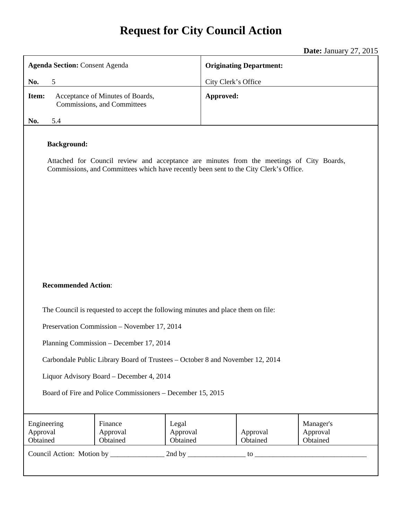# **Request for City Council Action**

**Date:** January 27, 2015

| <b>Agenda Section: Consent Agenda</b>                                                                                                                                                                   |                                                                 |                               | <b>Originating Department:</b> |                                   |  |
|---------------------------------------------------------------------------------------------------------------------------------------------------------------------------------------------------------|-----------------------------------------------------------------|-------------------------------|--------------------------------|-----------------------------------|--|
| 5<br>No.                                                                                                                                                                                                |                                                                 |                               | City Clerk's Office            |                                   |  |
| Item:                                                                                                                                                                                                   | Acceptance of Minutes of Boards,<br>Commissions, and Committees | Approved:                     |                                |                                   |  |
| 5.4<br>No.                                                                                                                                                                                              |                                                                 |                               |                                |                                   |  |
| <b>Background:</b><br>Attached for Council review and acceptance are minutes from the meetings of City Boards,<br>Commissions, and Committees which have recently been sent to the City Clerk's Office. |                                                                 |                               |                                |                                   |  |
|                                                                                                                                                                                                         |                                                                 |                               |                                |                                   |  |
| <b>Recommended Action:</b>                                                                                                                                                                              |                                                                 |                               |                                |                                   |  |
| The Council is requested to accept the following minutes and place them on file:                                                                                                                        |                                                                 |                               |                                |                                   |  |
| Preservation Commission - November 17, 2014                                                                                                                                                             |                                                                 |                               |                                |                                   |  |
| Planning Commission – December 17, 2014                                                                                                                                                                 |                                                                 |                               |                                |                                   |  |
| Carbondale Public Library Board of Trustees - October 8 and November 12, 2014                                                                                                                           |                                                                 |                               |                                |                                   |  |
| Liquor Advisory Board – December 4, 2014                                                                                                                                                                |                                                                 |                               |                                |                                   |  |
| Board of Fire and Police Commissioners – December 15, 2015                                                                                                                                              |                                                                 |                               |                                |                                   |  |
| Engineering<br>Approval<br>Obtained                                                                                                                                                                     | Finance<br>Approval<br>Obtained                                 | Legal<br>Approval<br>Obtained | Approval<br>Obtained           | Manager's<br>Approval<br>Obtained |  |
|                                                                                                                                                                                                         |                                                                 |                               |                                |                                   |  |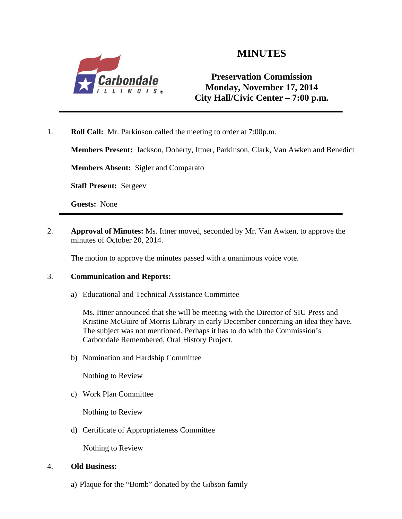

# **MINUTES**

### **Preservation Commission Monday, November 17, 2014 City Hall/Civic Center – 7:00 p.m***.*

1. **Roll Call:** Mr. Parkinson called the meeting to order at 7:00p.m.

**Members Present:** Jackson, Doherty, Ittner, Parkinson, Clark, Van Awken and Benedict

**Members Absent:** Sigler and Comparato

**Staff Present:** Sergeev

**Guests:** None

2. **Approval of Minutes:** Ms. Ittner moved, seconded by Mr. Van Awken, to approve the minutes of October 20, 2014.

The motion to approve the minutes passed with a unanimous voice vote.

#### 3. **Communication and Reports:**

a) Educational and Technical Assistance Committee

Ms. Ittner announced that she will be meeting with the Director of SIU Press and Kristine McGuire of Morris Library in early December concerning an idea they have. The subject was not mentioned. Perhaps it has to do with the Commission's Carbondale Remembered, Oral History Project.

b) Nomination and Hardship Committee

Nothing to Review

c) Work Plan Committee

Nothing to Review

d) Certificate of Appropriateness Committee

Nothing to Review

#### 4. **Old Business:**

a) Plaque for the "Bomb" donated by the Gibson family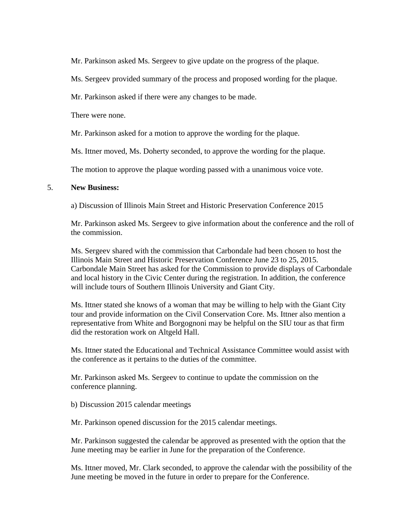Mr. Parkinson asked Ms. Sergeev to give update on the progress of the plaque.

Ms. Sergeev provided summary of the process and proposed wording for the plaque.

Mr. Parkinson asked if there were any changes to be made.

There were none.

Mr. Parkinson asked for a motion to approve the wording for the plaque.

Ms. Ittner moved, Ms. Doherty seconded, to approve the wording for the plaque.

The motion to approve the plaque wording passed with a unanimous voice vote.

#### 5. **New Business:**

a) Discussion of Illinois Main Street and Historic Preservation Conference 2015

Mr. Parkinson asked Ms. Sergeev to give information about the conference and the roll of the commission.

Ms. Sergeev shared with the commission that Carbondale had been chosen to host the Illinois Main Street and Historic Preservation Conference June 23 to 25, 2015. Carbondale Main Street has asked for the Commission to provide displays of Carbondale and local history in the Civic Center during the registration. In addition, the conference will include tours of Southern Illinois University and Giant City.

Ms. Ittner stated she knows of a woman that may be willing to help with the Giant City tour and provide information on the Civil Conservation Core. Ms. Ittner also mention a representative from White and Borgognoni may be helpful on the SIU tour as that firm did the restoration work on Altgeld Hall.

Ms. Ittner stated the Educational and Technical Assistance Committee would assist with the conference as it pertains to the duties of the committee.

Mr. Parkinson asked Ms. Sergeev to continue to update the commission on the conference planning.

b) Discussion 2015 calendar meetings

Mr. Parkinson opened discussion for the 2015 calendar meetings.

Mr. Parkinson suggested the calendar be approved as presented with the option that the June meeting may be earlier in June for the preparation of the Conference.

Ms. Ittner moved, Mr. Clark seconded, to approve the calendar with the possibility of the June meeting be moved in the future in order to prepare for the Conference.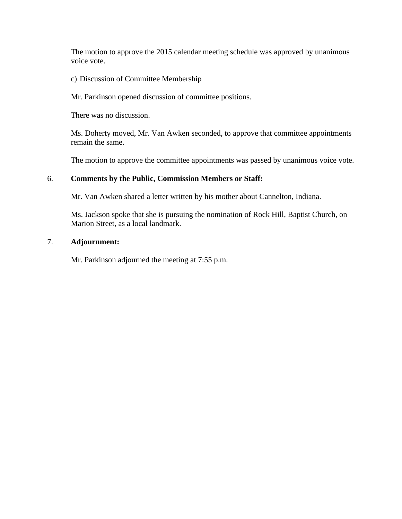The motion to approve the 2015 calendar meeting schedule was approved by unanimous voice vote.

c) Discussion of Committee Membership

Mr. Parkinson opened discussion of committee positions.

There was no discussion.

Ms. Doherty moved, Mr. Van Awken seconded, to approve that committee appointments remain the same.

The motion to approve the committee appointments was passed by unanimous voice vote.

#### 6. **Comments by the Public, Commission Members or Staff:**

Mr. Van Awken shared a letter written by his mother about Cannelton, Indiana.

Ms. Jackson spoke that she is pursuing the nomination of Rock Hill, Baptist Church, on Marion Street, as a local landmark.

#### 7. **Adjournment:**

Mr. Parkinson adjourned the meeting at 7:55 p.m.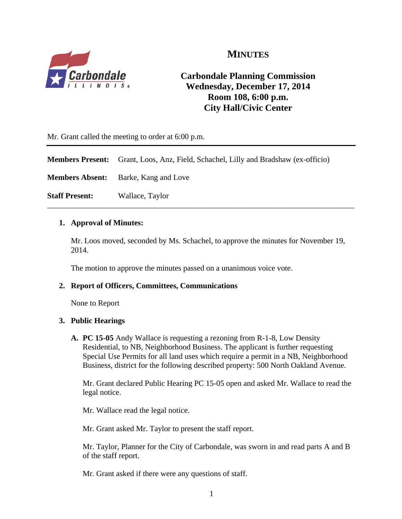

# **MINUTES**

## **Carbondale Planning Commission Wednesday, December 17, 2014 Room 108, 6:00 p.m. City Hall/Civic Center**

Mr. Grant called the meeting to order at 6:00 p.m.

**Members Present:** Grant, Loos, Anz, Field, Schachel, Lilly and Bradshaw (ex-officio)

**Members Absent:** Barke, Kang and Love

**Staff Present:** Wallace, Taylor

#### **1. Approval of Minutes:**

Mr. Loos moved, seconded by Ms. Schachel, to approve the minutes for November 19, 2014.

\_\_\_\_\_\_\_\_\_\_\_\_\_\_\_\_\_\_\_\_\_\_\_\_\_\_\_\_\_\_\_\_\_\_\_\_\_\_\_\_\_\_\_\_\_\_\_\_\_\_\_\_\_\_\_\_\_\_\_\_\_\_\_\_\_\_\_\_\_\_\_\_\_\_\_\_\_\_

The motion to approve the minutes passed on a unanimous voice vote.

#### **2. Report of Officers, Committees, Communications**

None to Report

#### **3. Public Hearings**

**A. PC 15-05** Andy Wallace is requesting a rezoning from R-1-8, Low Density Residential, to NB, Neighborhood Business. The applicant is further requesting Special Use Permits for all land uses which require a permit in a NB, Neighborhood Business, district for the following described property: 500 North Oakland Avenue.

Mr. Grant declared Public Hearing PC 15-05 open and asked Mr. Wallace to read the legal notice.

Mr. Wallace read the legal notice.

Mr. Grant asked Mr. Taylor to present the staff report.

Mr. Taylor, Planner for the City of Carbondale, was sworn in and read parts A and B of the staff report.

Mr. Grant asked if there were any questions of staff.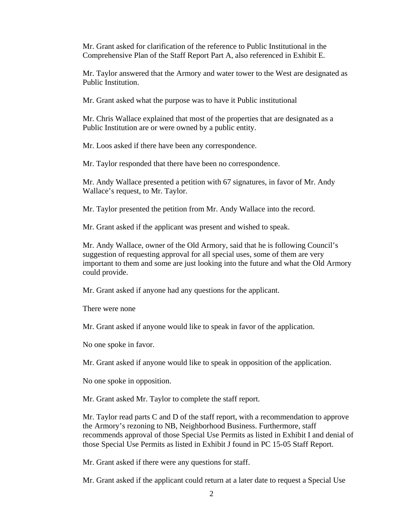Mr. Grant asked for clarification of the reference to Public Institutional in the Comprehensive Plan of the Staff Report Part A, also referenced in Exhibit E.

Mr. Taylor answered that the Armory and water tower to the West are designated as Public Institution.

Mr. Grant asked what the purpose was to have it Public institutional

Mr. Chris Wallace explained that most of the properties that are designated as a Public Institution are or were owned by a public entity.

Mr. Loos asked if there have been any correspondence.

Mr. Taylor responded that there have been no correspondence.

Mr. Andy Wallace presented a petition with 67 signatures, in favor of Mr. Andy Wallace's request, to Mr. Taylor.

Mr. Taylor presented the petition from Mr. Andy Wallace into the record.

Mr. Grant asked if the applicant was present and wished to speak.

Mr. Andy Wallace, owner of the Old Armory, said that he is following Council's suggestion of requesting approval for all special uses, some of them are very important to them and some are just looking into the future and what the Old Armory could provide.

Mr. Grant asked if anyone had any questions for the applicant.

There were none

Mr. Grant asked if anyone would like to speak in favor of the application.

No one spoke in favor.

Mr. Grant asked if anyone would like to speak in opposition of the application.

No one spoke in opposition.

Mr. Grant asked Mr. Taylor to complete the staff report.

Mr. Taylor read parts C and D of the staff report, with a recommendation to approve the Armory's rezoning to NB, Neighborhood Business. Furthermore, staff recommends approval of those Special Use Permits as listed in Exhibit I and denial of those Special Use Permits as listed in Exhibit J found in PC 15-05 Staff Report.

Mr. Grant asked if there were any questions for staff.

Mr. Grant asked if the applicant could return at a later date to request a Special Use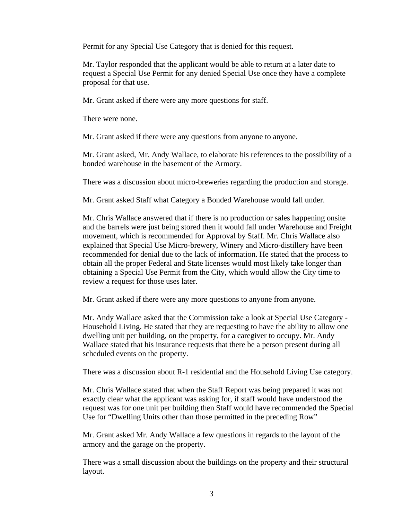Permit for any Special Use Category that is denied for this request.

Mr. Taylor responded that the applicant would be able to return at a later date to request a Special Use Permit for any denied Special Use once they have a complete proposal for that use.

Mr. Grant asked if there were any more questions for staff.

There were none.

Mr. Grant asked if there were any questions from anyone to anyone.

Mr. Grant asked, Mr. Andy Wallace, to elaborate his references to the possibility of a bonded warehouse in the basement of the Armory.

There was a discussion about micro-breweries regarding the production and storage.

Mr. Grant asked Staff what Category a Bonded Warehouse would fall under.

Mr. Chris Wallace answered that if there is no production or sales happening onsite and the barrels were just being stored then it would fall under Warehouse and Freight movement, which is recommended for Approval by Staff. Mr. Chris Wallace also explained that Special Use Micro-brewery, Winery and Micro-distillery have been recommended for denial due to the lack of information. He stated that the process to obtain all the proper Federal and State licenses would most likely take longer than obtaining a Special Use Permit from the City, which would allow the City time to review a request for those uses later.

Mr. Grant asked if there were any more questions to anyone from anyone.

Mr. Andy Wallace asked that the Commission take a look at Special Use Category - Household Living. He stated that they are requesting to have the ability to allow one dwelling unit per building, on the property, for a caregiver to occupy. Mr. Andy Wallace stated that his insurance requests that there be a person present during all scheduled events on the property.

There was a discussion about R-1 residential and the Household Living Use category.

Mr. Chris Wallace stated that when the Staff Report was being prepared it was not exactly clear what the applicant was asking for, if staff would have understood the request was for one unit per building then Staff would have recommended the Special Use for "Dwelling Units other than those permitted in the preceding Row"

Mr. Grant asked Mr. Andy Wallace a few questions in regards to the layout of the armory and the garage on the property.

There was a small discussion about the buildings on the property and their structural layout.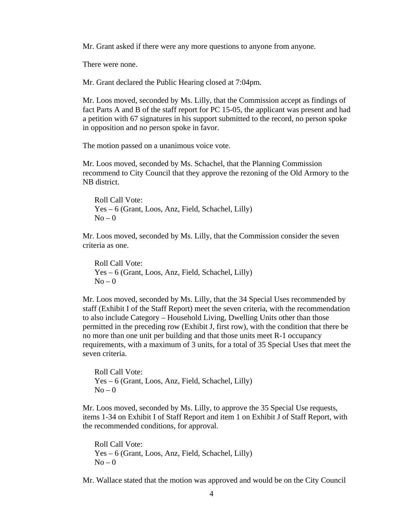Mr. Grant asked if there were any more questions to anyone from anyone.

There were none.

Mr. Grant declared the Public Hearing closed at 7:04pm.

Mr. Loos moved, seconded by Ms. Lilly, that the Commission accept as findings of fact Parts A and B of the staff report for PC 15-05, the applicant was present and had a petition with 67 signatures in his support submitted to the record, no person spoke in opposition and no person spoke in favor.

The motion passed on a unanimous voice vote.

Mr. Loos moved, seconded by Ms. Schachel, that the Planning Commission recommend to City Council that they approve the rezoning of the Old Armory to the NB district.

Roll Call Vote: Yes – 6 (Grant, Loos, Anz, Field, Schachel, Lilly)  $No - 0$ 

 Mr. Loos moved, seconded by Ms. Lilly, that the Commission consider the seven criteria as one.

 Roll Call Vote: Yes – 6 (Grant, Loos, Anz, Field, Schachel, Lilly)  $No - 0$ 

Mr. Loos moved, seconded by Ms. Lilly, that the 34 Special Uses recommended by staff (Exhibit I of the Staff Report) meet the seven criteria, with the recommendation to also include Category – Household Living, Dwelling Units other than those permitted in the preceding row (Exhibit J, first row), with the condition that there be no more than one unit per building and that those units meet R-1 occupancy requirements, with a maximum of 3 units, for a total of 35 Special Uses that meet the seven criteria.

 Roll Call Vote: Yes – 6 (Grant, Loos, Anz, Field, Schachel, Lilly)  $No-0$ 

Mr. Loos moved, seconded by Ms. Lilly, to approve the 35 Special Use requests, items 1-34 on Exhibit I of Staff Report and item 1 on Exhibit J of Staff Report, with the recommended conditions, for approval.

 Roll Call Vote: Yes – 6 (Grant, Loos, Anz, Field, Schachel, Lilly)  $No - 0$ 

Mr. Wallace stated that the motion was approved and would be on the City Council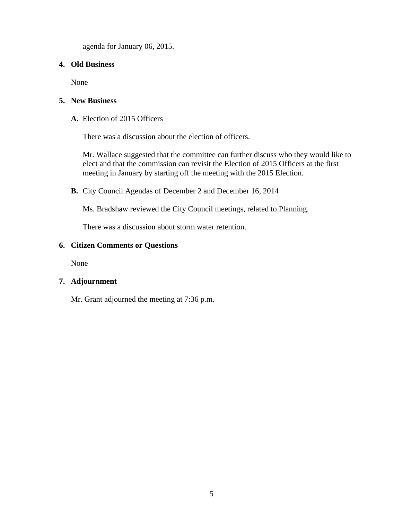agenda for January 06, 2015.

#### **4. Old Business**

None

#### **5. New Business**

**A.** Election of 2015 Officers

There was a discussion about the election of officers.

Mr. Wallace suggested that the committee can further discuss who they would like to elect and that the commission can revisit the Election of 2015 Officers at the first meeting in January by starting off the meeting with the 2015 Election.

**B.** City Council Agendas of December 2 and December 16, 2014

Ms. Bradshaw reviewed the City Council meetings, related to Planning.

There was a discussion about storm water retention.

#### **6. Citizen Comments or Questions**

None

#### **7. Adjournment**

Mr. Grant adjourned the meeting at 7:36 p.m.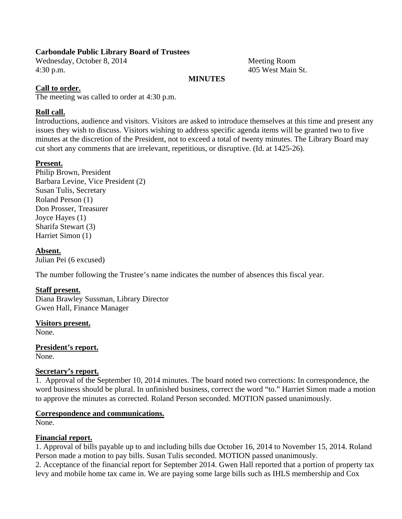#### **Carbondale Public Library Board of Trustees**

Wednesday, October 8, 2014 Meeting Room 4:30 p.m. 405 West Main St.

#### **MINUTES**

#### **Call to order.**

The meeting was called to order at 4:30 p.m.

#### **Roll call.**

Introductions, audience and visitors. Visitors are asked to introduce themselves at this time and present any issues they wish to discuss. Visitors wishing to address specific agenda items will be granted two to five minutes at the discretion of the President, not to exceed a total of twenty minutes. The Library Board may cut short any comments that are irrelevant, repetitious, or disruptive. (Id. at 1425-26).

#### **Present.**

Philip Brown, President Barbara Levine, Vice President (2) Susan Tulis, Secretary Roland Person (1) Don Prosser, Treasurer Joyce Hayes (1) Sharifa Stewart (3) Harriet Simon (1)

**Absent.**  Julian Pei (6 excused)

The number following the Trustee's name indicates the number of absences this fiscal year.

#### **Staff present.**

Diana Brawley Sussman, Library Director Gwen Hall, Finance Manager

**Visitors present.**  None.

**President's report.**  None.

#### **Secretary's report.**

1. Approval of the September 10, 2014 minutes. The board noted two corrections: In correspondence, the word business should be plural. In unfinished business, correct the word "to." Harriet Simon made a motion to approve the minutes as corrected. Roland Person seconded. MOTION passed unanimously.

#### **Correspondence and communications.**

None.

#### **Financial report.**

1. Approval of bills payable up to and including bills due October 16, 2014 to November 15, 2014. Roland Person made a motion to pay bills. Susan Tulis seconded. MOTION passed unanimously.

2. Acceptance of the financial report for September 2014. Gwen Hall reported that a portion of property tax levy and mobile home tax came in. We are paying some large bills such as IHLS membership and Cox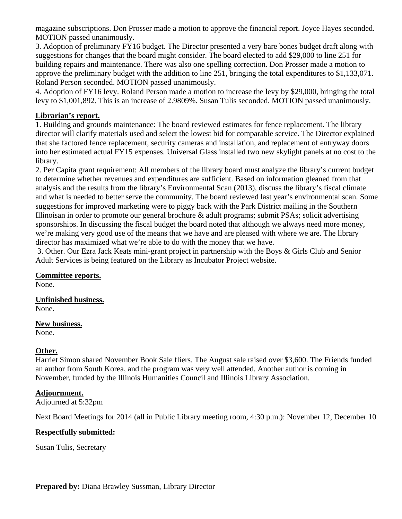magazine subscriptions. Don Prosser made a motion to approve the financial report. Joyce Hayes seconded. MOTION passed unanimously.

3. Adoption of preliminary FY16 budget. The Director presented a very bare bones budget draft along with suggestions for changes that the board might consider. The board elected to add \$29,000 to line 251 for building repairs and maintenance. There was also one spelling correction. Don Prosser made a motion to approve the preliminary budget with the addition to line 251, bringing the total expenditures to \$1,133,071. Roland Person seconded. MOTION passed unanimously.

4. Adoption of FY16 levy. Roland Person made a motion to increase the levy by \$29,000, bringing the total levy to \$1,001,892. This is an increase of 2.9809%. Susan Tulis seconded. MOTION passed unanimously.

#### **Librarian's report.**

1. Building and grounds maintenance: The board reviewed estimates for fence replacement. The library director will clarify materials used and select the lowest bid for comparable service. The Director explained that she factored fence replacement, security cameras and installation, and replacement of entryway doors into her estimated actual FY15 expenses. Universal Glass installed two new skylight panels at no cost to the library.

2. Per Capita grant requirement: All members of the library board must analyze the library's current budget to determine whether revenues and expenditures are sufficient. Based on information gleaned from that analysis and the results from the library's Environmental Scan (2013), discuss the library's fiscal climate and what is needed to better serve the community. The board reviewed last year's environmental scan. Some suggestions for improved marketing were to piggy back with the Park District mailing in the Southern Illinoisan in order to promote our general brochure & adult programs; submit PSAs; solicit advertising sponsorships. In discussing the fiscal budget the board noted that although we always need more money, we're making very good use of the means that we have and are pleased with where we are. The library director has maximized what we're able to do with the money that we have.

 3. Other. Our Ezra Jack Keats mini-grant project in partnership with the Boys & Girls Club and Senior Adult Services is being featured on the Library as Incubator Project website.

### **Committee reports.**

None.

**Unfinished business.**  None.

**New business.**  None.

#### **Other.**

Harriet Simon shared November Book Sale fliers. The August sale raised over \$3,600. The Friends funded an author from South Korea, and the program was very well attended. Another author is coming in November, funded by the Illinois Humanities Council and Illinois Library Association.

#### **Adjournment.**

Adjourned at 5:32pm

Next Board Meetings for 2014 (all in Public Library meeting room, 4:30 p.m.): November 12, December 10

#### **Respectfully submitted:**

Susan Tulis, Secretary

**Prepared by:** Diana Brawley Sussman, Library Director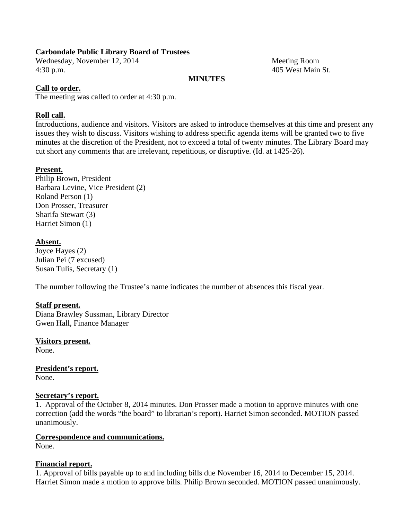#### **Carbondale Public Library Board of Trustees**

Wednesday, November 12, 2014 Meeting Room 4:30 p.m. 405 West Main St.

#### **MINUTES**

#### **Call to order.**

The meeting was called to order at 4:30 p.m.

#### **Roll call.**

Introductions, audience and visitors. Visitors are asked to introduce themselves at this time and present any issues they wish to discuss. Visitors wishing to address specific agenda items will be granted two to five minutes at the discretion of the President, not to exceed a total of twenty minutes. The Library Board may cut short any comments that are irrelevant, repetitious, or disruptive. (Id. at 1425-26).

#### **Present.**

Philip Brown, President Barbara Levine, Vice President (2) Roland Person (1) Don Prosser, Treasurer Sharifa Stewart (3) Harriet Simon (1)

#### **Absent.**

Joyce Hayes (2) Julian Pei (7 excused) Susan Tulis, Secretary (1)

The number following the Trustee's name indicates the number of absences this fiscal year.

#### **Staff present.**

Diana Brawley Sussman, Library Director Gwen Hall, Finance Manager

**Visitors present.**  None.

**President's report.**  None.

#### **Secretary's report.**

1. Approval of the October 8, 2014 minutes. Don Prosser made a motion to approve minutes with one correction (add the words "the board" to librarian's report). Harriet Simon seconded. MOTION passed unanimously.

#### **Correspondence and communications.**

None.

#### **Financial report.**

1. Approval of bills payable up to and including bills due November 16, 2014 to December 15, 2014. Harriet Simon made a motion to approve bills. Philip Brown seconded. MOTION passed unanimously.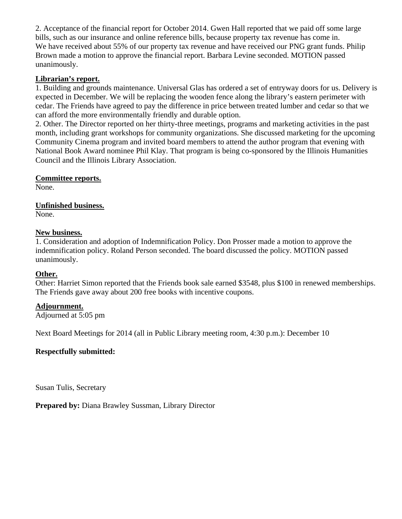2. Acceptance of the financial report for October 2014. Gwen Hall reported that we paid off some large bills, such as our insurance and online reference bills, because property tax revenue has come in. We have received about 55% of our property tax revenue and have received our PNG grant funds. Philip Brown made a motion to approve the financial report. Barbara Levine seconded. MOTION passed unanimously.

#### **Librarian's report.**

1. Building and grounds maintenance. Universal Glas has ordered a set of entryway doors for us. Delivery is expected in December. We will be replacing the wooden fence along the library's eastern perimeter with cedar. The Friends have agreed to pay the difference in price between treated lumber and cedar so that we can afford the more environmentally friendly and durable option.

2. Other. The Director reported on her thirty-three meetings, programs and marketing activities in the past month, including grant workshops for community organizations. She discussed marketing for the upcoming Community Cinema program and invited board members to attend the author program that evening with National Book Award nominee Phil Klay. That program is being co-sponsored by the Illinois Humanities Council and the Illinois Library Association.

#### **Committee reports.**

None.

#### **Unfinished business.**  None.

#### **New business.**

1. Consideration and adoption of Indemnification Policy. Don Prosser made a motion to approve the indemnification policy. Roland Person seconded. The board discussed the policy. MOTION passed unanimously.

#### **Other.**

Other: Harriet Simon reported that the Friends book sale earned \$3548, plus \$100 in renewed memberships. The Friends gave away about 200 free books with incentive coupons.

#### **Adjournment.**

Adjourned at 5:05 pm

Next Board Meetings for 2014 (all in Public Library meeting room, 4:30 p.m.): December 10

#### **Respectfully submitted:**

Susan Tulis, Secretary

**Prepared by:** Diana Brawley Sussman, Library Director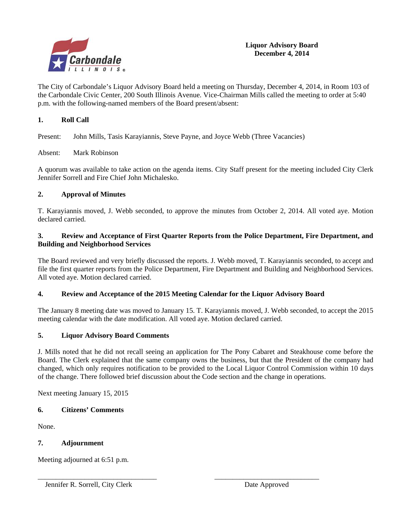

The City of Carbondale's Liquor Advisory Board held a meeting on Thursday, December 4, 2014, in Room 103 of the Carbondale Civic Center, 200 South Illinois Avenue. Vice-Chairman Mills called the meeting to order at 5:40 p.m. with the following-named members of the Board present/absent:

#### **1. Roll Call**

Present: John Mills, Tasis Karayiannis, Steve Payne, and Joyce Webb (Three Vacancies)

#### Absent: Mark Robinson

A quorum was available to take action on the agenda items. City Staff present for the meeting included City Clerk Jennifer Sorrell and Fire Chief John Michalesko.

#### **2. Approval of Minutes**

T. Karayiannis moved, J. Webb seconded, to approve the minutes from October 2, 2014. All voted aye. Motion declared carried.

#### **3. Review and Acceptance of First Quarter Reports from the Police Department, Fire Department, and Building and Neighborhood Services**

The Board reviewed and very briefly discussed the reports. J. Webb moved, T. Karayiannis seconded, to accept and file the first quarter reports from the Police Department, Fire Department and Building and Neighborhood Services. All voted aye. Motion declared carried.

#### **4. Review and Acceptance of the 2015 Meeting Calendar for the Liquor Advisory Board**

\_\_\_\_\_\_\_\_\_\_\_\_\_\_\_\_\_\_\_\_\_\_\_\_\_\_\_\_\_\_\_\_\_ \_\_\_\_\_\_\_\_\_\_\_\_\_\_\_\_\_\_\_\_\_\_\_\_\_\_\_\_\_

The January 8 meeting date was moved to January 15. T. Karayiannis moved, J. Webb seconded, to accept the 2015 meeting calendar with the date modification. All voted aye. Motion declared carried.

#### **5. Liquor Advisory Board Comments**

J. Mills noted that he did not recall seeing an application for The Pony Cabaret and Steakhouse come before the Board. The Clerk explained that the same company owns the business, but that the President of the company had changed, which only requires notification to be provided to the Local Liquor Control Commission within 10 days of the change. There followed brief discussion about the Code section and the change in operations.

Next meeting January 15, 2015

#### **6. Citizens' Comments**

None.

#### **7. Adjournment**

Meeting adjourned at 6:51 p.m.

Jennifer R. Sorrell, City Clerk Date Approved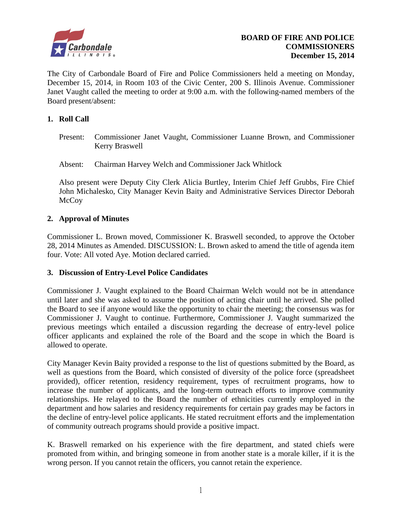

The City of Carbondale Board of Fire and Police Commissioners held a meeting on Monday, December 15, 2014, in Room 103 of the Civic Center, 200 S. Illinois Avenue. Commissioner Janet Vaught called the meeting to order at 9:00 a.m. with the following-named members of the Board present/absent:

#### **1. Roll Call**

- Present: Commissioner Janet Vaught, Commissioner Luanne Brown, and Commissioner Kerry Braswell
- Absent: Chairman Harvey Welch and Commissioner Jack Whitlock

Also present were Deputy City Clerk Alicia Burtley, Interim Chief Jeff Grubbs, Fire Chief John Michalesko, City Manager Kevin Baity and Administrative Services Director Deborah **McCoy** 

#### **2. Approval of Minutes**

Commissioner L. Brown moved, Commissioner K. Braswell seconded, to approve the October 28, 2014 Minutes as Amended. DISCUSSION: L. Brown asked to amend the title of agenda item four. Vote: All voted Aye. Motion declared carried.

#### **3. Discussion of Entry-Level Police Candidates**

Commissioner J. Vaught explained to the Board Chairman Welch would not be in attendance until later and she was asked to assume the position of acting chair until he arrived. She polled the Board to see if anyone would like the opportunity to chair the meeting; the consensus was for Commissioner J. Vaught to continue. Furthermore, Commissioner J. Vaught summarized the previous meetings which entailed a discussion regarding the decrease of entry-level police officer applicants and explained the role of the Board and the scope in which the Board is allowed to operate.

City Manager Kevin Baity provided a response to the list of questions submitted by the Board, as well as questions from the Board, which consisted of diversity of the police force (spreadsheet provided), officer retention, residency requirement, types of recruitment programs, how to increase the number of applicants, and the long-term outreach efforts to improve community relationships. He relayed to the Board the number of ethnicities currently employed in the department and how salaries and residency requirements for certain pay grades may be factors in the decline of entry-level police applicants. He stated recruitment efforts and the implementation of community outreach programs should provide a positive impact.

K. Braswell remarked on his experience with the fire department, and stated chiefs were promoted from within, and bringing someone in from another state is a morale killer, if it is the wrong person. If you cannot retain the officers, you cannot retain the experience.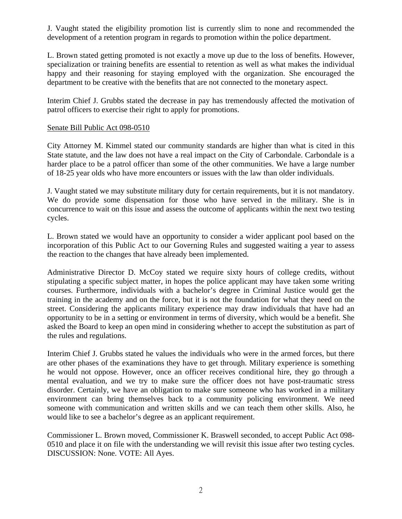J. Vaught stated the eligibility promotion list is currently slim to none and recommended the development of a retention program in regards to promotion within the police department.

L. Brown stated getting promoted is not exactly a move up due to the loss of benefits. However, specialization or training benefits are essential to retention as well as what makes the individual happy and their reasoning for staying employed with the organization. She encouraged the department to be creative with the benefits that are not connected to the monetary aspect.

Interim Chief J. Grubbs stated the decrease in pay has tremendously affected the motivation of patrol officers to exercise their right to apply for promotions.

#### Senate Bill Public Act 098-0510

City Attorney M. Kimmel stated our community standards are higher than what is cited in this State statute, and the law does not have a real impact on the City of Carbondale. Carbondale is a harder place to be a patrol officer than some of the other communities. We have a large number of 18-25 year olds who have more encounters or issues with the law than older individuals.

J. Vaught stated we may substitute military duty for certain requirements, but it is not mandatory. We do provide some dispensation for those who have served in the military. She is in concurrence to wait on this issue and assess the outcome of applicants within the next two testing cycles.

L. Brown stated we would have an opportunity to consider a wider applicant pool based on the incorporation of this Public Act to our Governing Rules and suggested waiting a year to assess the reaction to the changes that have already been implemented.

Administrative Director D. McCoy stated we require sixty hours of college credits, without stipulating a specific subject matter, in hopes the police applicant may have taken some writing courses. Furthermore, individuals with a bachelor's degree in Criminal Justice would get the training in the academy and on the force, but it is not the foundation for what they need on the street. Considering the applicants military experience may draw individuals that have had an opportunity to be in a setting or environment in terms of diversity, which would be a benefit. She asked the Board to keep an open mind in considering whether to accept the substitution as part of the rules and regulations.

Interim Chief J. Grubbs stated he values the individuals who were in the armed forces, but there are other phases of the examinations they have to get through. Military experience is something he would not oppose. However, once an officer receives conditional hire, they go through a mental evaluation, and we try to make sure the officer does not have post-traumatic stress disorder. Certainly, we have an obligation to make sure someone who has worked in a military environment can bring themselves back to a community policing environment. We need someone with communication and written skills and we can teach them other skills. Also, he would like to see a bachelor's degree as an applicant requirement.

Commissioner L. Brown moved, Commissioner K. Braswell seconded, to accept Public Act 098- 0510 and place it on file with the understanding we will revisit this issue after two testing cycles. DISCUSSION: None. VOTE: All Ayes.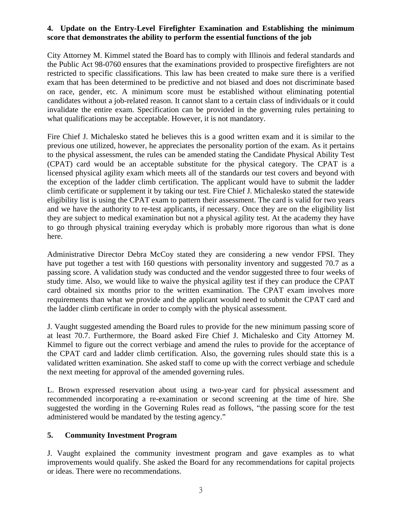#### **4. Update on the Entry-Level Firefighter Examination and Establishing the minimum score that demonstrates the ability to perform the essential functions of the job**

City Attorney M. Kimmel stated the Board has to comply with Illinois and federal standards and the Public Act 98-0760 ensures that the examinations provided to prospective firefighters are not restricted to specific classifications. This law has been created to make sure there is a verified exam that has been determined to be predictive and not biased and does not discriminate based on race, gender, etc. A minimum score must be established without eliminating potential candidates without a job-related reason. It cannot slant to a certain class of individuals or it could invalidate the entire exam. Specification can be provided in the governing rules pertaining to what qualifications may be acceptable. However, it is not mandatory.

Fire Chief J. Michalesko stated he believes this is a good written exam and it is similar to the previous one utilized, however, he appreciates the personality portion of the exam. As it pertains to the physical assessment, the rules can be amended stating the Candidate Physical Ability Test (CPAT) card would be an acceptable substitute for the physical category. The CPAT is a licensed physical agility exam which meets all of the standards our test covers and beyond with the exception of the ladder climb certification. The applicant would have to submit the ladder climb certificate or supplement it by taking our test. Fire Chief J. Michalesko stated the statewide eligibility list is using the CPAT exam to pattern their assessment. The card is valid for two years and we have the authority to re-test applicants, if necessary. Once they are on the eligibility list they are subject to medical examination but not a physical agility test. At the academy they have to go through physical training everyday which is probably more rigorous than what is done here.

Administrative Director Debra McCoy stated they are considering a new vendor FPSI. They have put together a test with 160 questions with personality inventory and suggested 70.7 as a passing score. A validation study was conducted and the vendor suggested three to four weeks of study time. Also, we would like to waive the physical agility test if they can produce the CPAT card obtained six months prior to the written examination. The CPAT exam involves more requirements than what we provide and the applicant would need to submit the CPAT card and the ladder climb certificate in order to comply with the physical assessment.

J. Vaught suggested amending the Board rules to provide for the new minimum passing score of at least 70.7. Furthermore, the Board asked Fire Chief J. Michalesko and City Attorney M. Kimmel to figure out the correct verbiage and amend the rules to provide for the acceptance of the CPAT card and ladder climb certification. Also, the governing rules should state this is a validated written examination. She asked staff to come up with the correct verbiage and schedule the next meeting for approval of the amended governing rules.

L. Brown expressed reservation about using a two-year card for physical assessment and recommended incorporating a re-examination or second screening at the time of hire. She suggested the wording in the Governing Rules read as follows, "the passing score for the test administered would be mandated by the testing agency."

#### **5. Community Investment Program**

 J. Vaught explained the community investment program and gave examples as to what improvements would qualify. She asked the Board for any recommendations for capital projects or ideas. There were no recommendations.